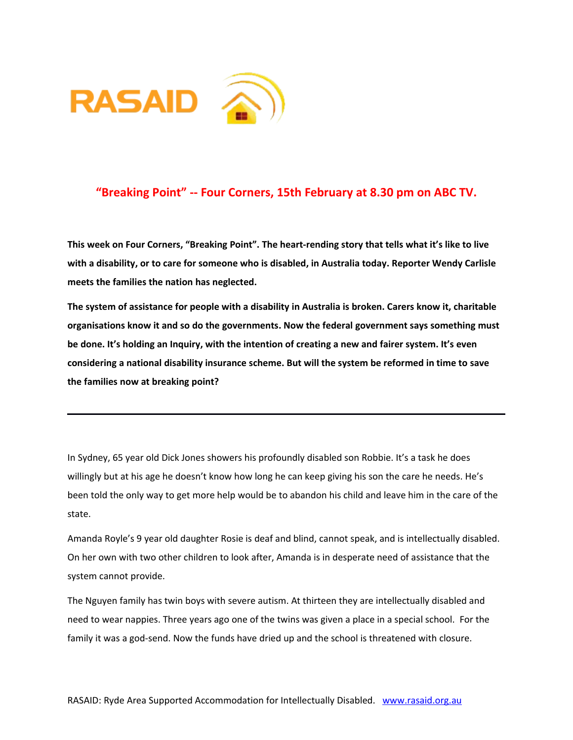



## **"Breaking Point" -- Four Corners, 15th February at 8.30 pm on ABC TV.**

**This week on Four Corners, "Breaking Point". The heart-rending story that tells what it's like to live with a disability, or to care for someone who is disabled, in Australia today. Reporter Wendy Carlisle meets the families the nation has neglected.**

**The system of assistance for people with a disability in Australia is broken. Carers know it, charitable organisations know it and so do the governments. Now the federal government says something must be done. It's holding an Inquiry, with the intention of creating a new and fairer system. It's even considering a national disability insurance scheme. But will the system be reformed in time to save the families now at breaking point?**

In Sydney, 65 year old Dick Jones showers his profoundly disabled son Robbie. It's a task he does willingly but at his age he doesn't know how long he can keep giving his son the care he needs. He's been told the only way to get more help would be to abandon his child and leave him in the care of the state.

Amanda Royle's 9 year old daughter Rosie is deaf and blind, cannot speak, and is intellectually disabled. On her own with two other children to look after, Amanda is in desperate need of assistance that the system cannot provide.

The Nguyen family has twin boys with severe autism. At thirteen they are intellectually disabled and need to wear nappies. Three years ago one of the twins was given a place in a special school. For the family it was a god-send. Now the funds have dried up and the school is threatened with closure.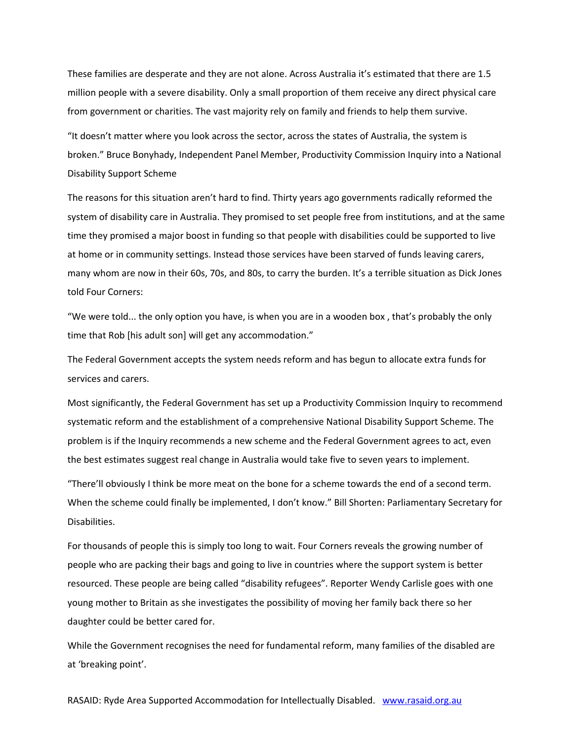These families are desperate and they are not alone. Across Australia it's estimated that there are 1.5 million people with a severe disability. Only a small proportion of them receive any direct physical care from government or charities. The vast majority rely on family and friends to help them survive.

"It doesn't matter where you look across the sector, across the states of Australia, the system is broken." Bruce Bonyhady, Independent Panel Member, Productivity Commission Inquiry into a National Disability Support Scheme

The reasons for this situation aren't hard to find. Thirty years ago governments radically reformed the system of disability care in Australia. They promised to set people free from institutions, and at the same time they promised a major boost in funding so that people with disabilities could be supported to live at home or in community settings. Instead those services have been starved of funds leaving carers, many whom are now in their 60s, 70s, and 80s, to carry the burden. It's a terrible situation as Dick Jones told Four Corners:

"We were told... the only option you have, is when you are in a wooden box , that's probably the only time that Rob [his adult son] will get any accommodation."

The Federal Government accepts the system needs reform and has begun to allocate extra funds for services and carers.

Most significantly, the Federal Government has set up a Productivity Commission Inquiry to recommend systematic reform and the establishment of a comprehensive National Disability Support Scheme. The problem is if the Inquiry recommends a new scheme and the Federal Government agrees to act, even the best estimates suggest real change in Australia would take five to seven years to implement.

"There'll obviously I think be more meat on the bone for a scheme towards the end of a second term. When the scheme could finally be implemented, I don't know." Bill Shorten: Parliamentary Secretary for Disabilities.

For thousands of people this is simply too long to wait. Four Corners reveals the growing number of people who are packing their bags and going to live in countries where the support system is better resourced. These people are being called "disability refugees". Reporter Wendy Carlisle goes with one young mother to Britain as she investigates the possibility of moving her family back there so her daughter could be better cared for.

While the Government recognises the need for fundamental reform, many families of the disabled are at 'breaking point'.